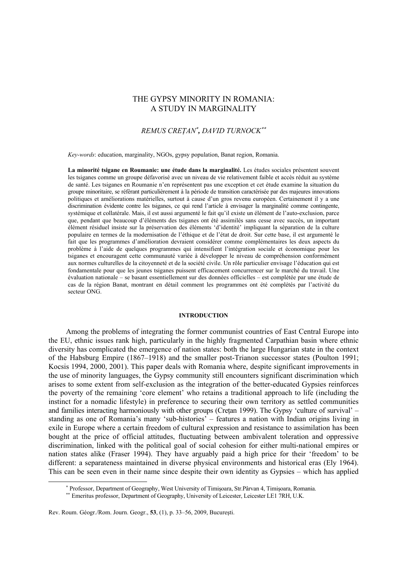# THE GYPSY MINORITY IN ROMANIA: A STUDY IN MARGINALITY

## $REMUS$   $CRETAN^*$ , *DAVID TURNOCK*<sup>\*\*</sup>

*Key-words*: education, marginality, NGOs, gypsy population, Banat region, Romania.

**La minorité tsigane en Roumanie: une étude dans la marginalité.** Les études sociales présentent souvent les tsiganes comme un groupe défavorisé avec un niveau de vie relativement faible et accès réduit au système de santé. Les tsiganes en Roumanie n'en représentent pas une exception et cet étude examine la situation du groupe minoritaire, se référant particulièrement à la période de transition caractérisée par des majeures innovations politiques et améliorations matérielles, surtout à cause d'un gros revenu européen. Certainement il y a une discrimination évidente contre les tsiganes, ce qui rend l'article à envisager la marginalité comme contingente, systémique et collatérale. Mais, il est aussi argumenté le fait qu'il existe un élément de l'auto-exclusion, parce que, pendant que beaucoup d'éléments des tsiganes ont été assimilés sans cesse avec succès, un important élément résiduel insiste sur la préservation des éléments 'd'identité' impliquant la séparation de la culture populaire en termes de la modernisation de l'éthique et de l'état de droit. Sur cette base, il est argumenté le fait que les programmes d'amélioration devraient considérer comme complémentaires les deux aspects du problème à l'aide de quelques programmes qui intensifient l'intégration sociale et économique pour les tsiganes et encouragent cette communauté variée à développer le niveau de compréhension conformément aux normes culturelles de la citoyenneté et de la société civile. Un rôle particulier envisage l'éducation qui est fondamentale pour que les jeunes tsiganes puissent efficacement concurrencer sur le marché du travail. Une évaluation nationale – se basant essentiellement sur des données officielles – est complétée par une étude de cas de la région Banat, montrant en détail comment les programmes ont été complétés par l'activité du secteur ONG.

#### **INTRODUCTION**

Among the problems of integrating the former communist countries of East Central Europe into the EU, ethnic issues rank high, particularly in the highly fragmented Carpathian basin where ethnic diversity has complicated the emergence of nation states: both the large Hungarian state in the context of the Habsburg Empire (1867–1918) and the smaller post-Trianon successor states (Poulton 1991; Kocsis 1994, 2000, 2001). This paper deals with Romania where, despite significant improvements in the use of minority languages, the Gypsy community still encounters significant discrimination which arises to some extent from self-exclusion as the integration of the better-educated Gypsies reinforces the poverty of the remaining 'core element' who retains a traditional approach to life (including the instinct for a nomadic lifestyle) in preference to securing their own territory as settled communities and families interacting harmoniously with other groups (Creţan 1999). The Gypsy 'culture of survival' – standing as one of Romania's many 'sub-histories' – features a nation with Indian origins living in exile in Europe where a certain freedom of cultural expression and resistance to assimilation has been bought at the price of official attitudes, fluctuating between ambivalent toleration and oppressive discrimination, linked with the political goal of social cohesion for either multi-national empires or nation states alike (Fraser 1994). They have arguably paid a high price for their 'freedom' to be different: a separateness maintained in diverse physical environments and historical eras (Ely 1964). This can be seen even in their name since despite their own identity as Gypsies – which has applied

Rev. Roum. Géogr./Rom. Journ. Geogr., **53**, (1), p. 33–56, 2009, Bucureşti.

 $\overline{a}$ 

<sup>\*</sup> Professor, Department of Geography, West University of Timișoara, Str. Pârvan 4, Timișoara, Romania.

<sup>\*\*</sup> Emeritus professor, Department of Geography, University of Leicester, Leicester LE1 7RH, U.K.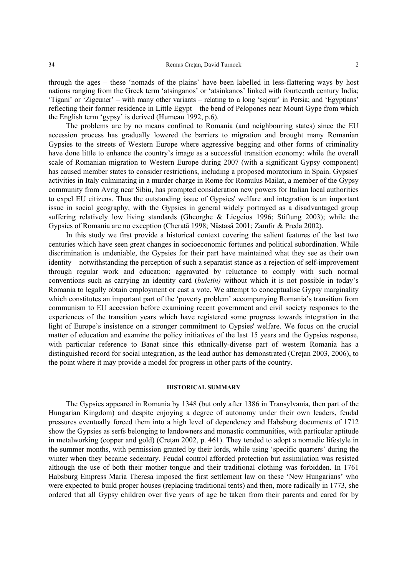through the ages – these 'nomads of the plains' have been labelled in less-flattering ways by host nations ranging from the Greek term 'atsinganos' or 'atsinkanos' linked with fourteenth century India; 'Tigani' or 'Zigeuner' – with many other variants – relating to a long 'sejour' in Persia; and 'Egyptians' reflecting their former residence in Little Egypt – the bend of Pelopones near Mount Gype from which the English term 'gypsy' is derived (Humeau 1992, p.6).

The problems are by no means confined to Romania (and neighbouring states) since the EU accession process has gradually lowered the barriers to migration and brought many Romanian Gypsies to the streets of Western Europe where aggressive begging and other forms of criminality have done little to enhance the country's image as a successful transition economy: while the overall scale of Romanian migration to Western Europe during 2007 (with a significant Gypsy component) has caused member states to consider restrictions, including a proposed moratorium in Spain. Gypsies' activities in Italy culminating in a murder charge in Rome for Romulus Mailat, a member of the Gypsy community from Avrig near Sibiu, has prompted consideration new powers for Italian local authorities to expel EU citizens. Thus the outstanding issue of Gypsies' welfare and integration is an important issue in social geography, with the Gypsies in general widely portrayed as a disadvantaged group suffering relatively low living standards (Gheorghe & Liegeios 1996; Stiftung 2003); while the Gypsies of Romania are no exception (Cherată 1998; Năstasă 2001; Zamfir & Preda 2002).

In this study we first provide a historical context covering the salient features of the last two centuries which have seen great changes in socioeconomic fortunes and political subordination. While discrimination is undeniable, the Gypsies for their part have maintained what they see as their own identity – notwithstanding the perception of such a separatist stance as a rejection of self-improvement through regular work and education; aggravated by reluctance to comply with such normal conventions such as carrying an identity card (*buletin)* without which it is not possible in today's Romania to legally obtain employment or cast a vote. We attempt to conceptualise Gypsy marginality which constitutes an important part of the 'poverty problem' accompanying Romania's transition from communism to EU accession before examining recent government and civil society responses to the experiences of the transition years which have registered some progress towards integration in the light of Europe's insistence on a stronger commitment to Gypsies' welfare. We focus on the crucial matter of education and examine the policy initiatives of the last 15 years and the Gypsies response, with particular reference to Banat since this ethnically-diverse part of western Romania has a distinguished record for social integration, as the lead author has demonstrated (Cretan 2003, 2006), to the point where it may provide a model for progress in other parts of the country.

### **HISTORICAL SUMMARY**

The Gypsies appeared in Romania by 1348 (but only after 1386 in Transylvania, then part of the Hungarian Kingdom) and despite enjoying a degree of autonomy under their own leaders, feudal pressures eventually forced them into a high level of dependency and Habsburg documents of 1712 show the Gypsies as serfs belonging to landowners and monastic communities, with particular aptitude in metalworking (copper and gold) (Cretan 2002, p. 461). They tended to adopt a nomadic lifestyle in the summer months, with permission granted by their lords, while using 'specific quarters' during the winter when they became sedentary. Feudal control afforded protection but assimilation was resisted although the use of both their mother tongue and their traditional clothing was forbidden. In 1761 Habsburg Empress Maria Theresa imposed the first settlement law on these 'New Hungarians' who were expected to build proper houses (replacing traditional tents) and then, more radically in 1773, she ordered that all Gypsy children over five years of age be taken from their parents and cared for by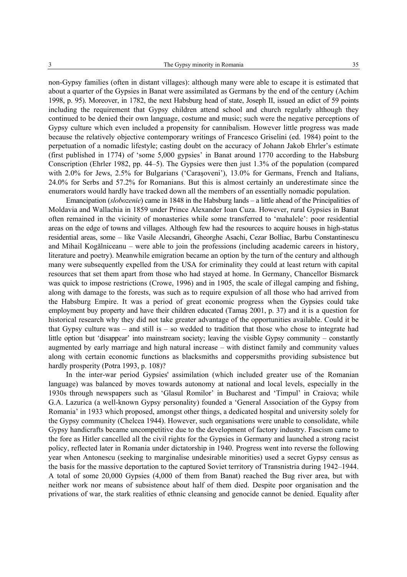non-Gypsy families (often in distant villages): although many were able to escape it is estimated that about a quarter of the Gypsies in Banat were assimilated as Germans by the end of the century (Achim 1998, p. 95). Moreover, in 1782, the next Habsburg head of state, Joseph II, issued an edict of 59 points including the requirement that Gypsy children attend school and church regularly although they continued to be denied their own language, costume and music; such were the negative perceptions of Gypsy culture which even included a propensity for cannibalism. However little progress was made because the relatively objective contemporary writings of Francesco Griselini (ed. 1984) point to the perpetuation of a nomadic lifestyle; casting doubt on the accuracy of Johann Jakob Ehrler's estimate (first published in 1774) of 'some 5,000 gypsies' in Banat around 1770 according to the Habsburg Conscription (Ehrler 1982, pp. 44–5). The Gypsies were then just 1.3% of the population (compared with 2.0% for Jews, 2.5% for Bulgarians ('Caraşoveni'), 13.0% for Germans, French and Italians, 24.0% for Serbs and 57.2% for Romanians. But this is almost certainly an underestimate since the enumerators would hardly have tracked down all the members of an essentially nomadic population.

Emancipation (*slobozenie*) came in 1848 in the Habsburg lands – a little ahead of the Principalities of Moldavia and Wallachia in 1859 under Prince Alexander Ioan Cuza. However, rural Gypsies in Banat often remained in the vicinity of monasteries while some transferred to 'mahalele': poor residential areas on the edge of towns and villages. Although few had the resources to acquire houses in high-status residential areas, some – like Vasile Alecsandri, Gheorghe Asachi, Cezar Bolliac, Barbu Constantinescu and Mihail Kogălniceanu – were able to join the professions (including academic careers in history, literature and poetry). Meanwhile emigration became an option by the turn of the century and although many were subsequently expelled from the USA for criminality they could at least return with capital resources that set them apart from those who had stayed at home. In Germany, Chancellor Bismarck was quick to impose restrictions (Crowe, 1996) and in 1905, the scale of illegal camping and fishing, along with damage to the forests, was such as to require expulsion of all those who had arrived from the Habsburg Empire. It was a period of great economic progress when the Gypsies could take employment buy property and have their children educated (Tamaş 2001, p. 37) and it is a question for historical research why they did not take greater advantage of the opportunities available. Could it be that Gypsy culture was – and still is – so wedded to tradition that those who chose to integrate had little option but 'disappear' into mainstream society; leaving the visible Gypsy community – constantly augmented by early marriage and high natural increase – with distinct family and community values along with certain economic functions as blacksmiths and coppersmiths providing subsistence but hardly prosperity (Potra 1993, p. 108)?

In the inter-war period Gypsies' assimilation (which included greater use of the Romanian language) was balanced by moves towards autonomy at national and local levels, especially in the 1930s through newspapers such as 'Glasul Romilor' in Bucharest and 'Timpul' in Craiova; while G.A. Lazurica (a well-known Gypsy personality) founded a 'General Association of the Gypsy from Romania' in 1933 which proposed, amongst other things, a dedicated hospital and university solely for the Gypsy community (Chelcea 1944). However, such organisations were unable to consolidate, while Gypsy handicrafts became uncompetitive due to the development of factory industry. Fascism came to the fore as Hitler cancelled all the civil rights for the Gypsies in Germany and launched a strong racist policy, reflected later in Romania under dictatorship in 1940. Progress went into reverse the following year when Antonescu (seeking to marginalise undesirable minorities) used a secret Gypsy census as the basis for the massive deportation to the captured Soviet territory of Transnistria during 1942–1944. A total of some 20,000 Gypsies (4,000 of them from Banat) reached the Bug river area, but with neither work nor means of subsistence about half of them died. Despite poor organisation and the privations of war, the stark realities of ethnic cleansing and genocide cannot be denied. Equality after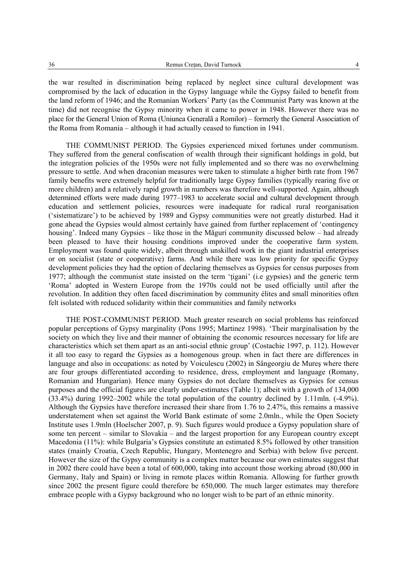the war resulted in discrimination being replaced by neglect since cultural development was compromised by the lack of education in the Gypsy language while the Gypsy failed to benefit from the land reform of 1946; and the Romanian Workers' Party (as the Communist Party was known at the time) did not recognise the Gypsy minority when it came to power in 1948. However there was no place for the General Union of Roma (Uniunea Generalã a Romilor) – formerly the General Association of the Roma from Romania – although it had actually ceased to function in 1941.

THE COMMUNIST PERIOD. The Gypsies experienced mixed fortunes under communism. They suffered from the general confiscation of wealth through their significant holdings in gold, but the integration policies of the 1950s were not fully implemented and so there was no overwhelming pressure to settle. And when draconian measures were taken to stimulate a higher birth rate from 1967 family benefits were extremely helpful for traditionally large Gypsy families (typically rearing five or more children) and a relatively rapid growth in numbers was therefore well-supported. Again, although determined efforts were made during 1977–1983 to accelerate social and cultural development through education and settlement policies, resources were inadequate for radical rural reorganisation ('sistematizare') to be achieved by 1989 and Gypsy communities were not greatly disturbed. Had it gone ahead the Gypsies would almost certainly have gained from further replacement of 'contingency housing'. Indeed many Gypsies – like those in the Măguri community discussed below – had already been pleased to have their housing conditions improved under the cooperative farm system. Employment was found quite widely, albeit through unskilled work in the giant industrial enterprises or on socialist (state or cooperative) farms. And while there was low priority for specific Gypsy development policies they had the option of declaring themselves as Gypsies for census purposes from 1977; although the communist state insisted on the term 'ţigani' (i.e gypsies) and the generic term 'Roma' adopted in Western Europe from the 1970s could not be used officially until after the revolution. In addition they often faced discrimination by community élites and small minorities often felt isolated with reduced solidarity within their communities and family networks

THE POST-COMMUNIST PERIOD. Much greater research on social problems has reinforced popular perceptions of Gypsy marginality (Pons 1995; Martinez 1998). 'Their marginalisation by the society on which they live and their manner of obtaining the economic resources necessary for life are characteristics which set them apart as an anti-social ethnic group' (Costachie 1997, p. 112). However it all too easy to regard the Gypsies as a homogenous group. when in fact there are differences in language and also in occupations: as noted by Voiculescu (2002) in Sângeorgiu de Mureş where there are four groups differentiated according to residence, dress, employment and language (Romany, Romanian and Hungarian). Hence many Gypsies do not declare themselves as Gypsies for census purposes and the official figures are clearly under-estimates (Table 1); albeit with a growth of 134,000 (33.4%) during 1992–2002 while the total population of the country declined by 1.11mln. (-4.9%). Although the Gypsies have therefore increased their share from 1.76 to 2.47%, this remains a massive understatement when set against the World Bank estimate of some 2.0mln., while the Open Society Institute uses 1.9mln (Hoelscher 2007, p. 9). Such figures would produce a Gypsy population share of some ten percent – similar to Slovakia – and the largest proportion for any European country except Macedonia (11%): while Bulgaria's Gypsies constitute an estimated 8.5% followed by other transition states (mainly Croatia, Czech Republic, Hungary, Montenegro and Serbia) with below five percent. However the size of the Gypsy community is a complex matter because our own estimates suggest that in 2002 there could have been a total of 600,000, taking into account those working abroad (80,000 in Germany, Italy and Spain) or living in remote places within Romania. Allowing for further growth since 2002 the present figure could therefore be 650,000. The much larger estimates may therefore embrace people with a Gypsy background who no longer wish to be part of an ethnic minority.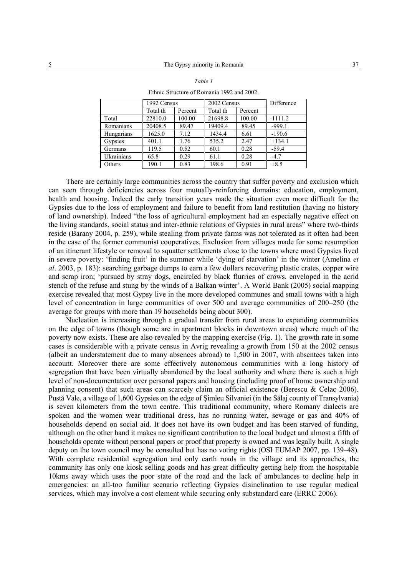|            | 1992 Census |         | 2002 Census |         | Difference |
|------------|-------------|---------|-------------|---------|------------|
|            | Total th    | Percent | Total th    | Percent |            |
| Total      | 22810.0     | 100.00  | 21698.8     | 100.00  | $-1111.2$  |
| Romanians  | 20408.5     | 89.47   | 19409.4     | 89.45   | $-999.1$   |
| Hungarians | 1625.0      | 7.12    | 1434.4      | 6.61    | $-190.6$   |
| Gypsies    | 401.1       | 1.76    | 535.2       | 2.47    | $+134.1$   |
| Germans    | 119.5       | 0.52    | 60.1        | 0.28    | $-59.4$    |
| Ukrainians | 65.8        | 0.29    | 61.1        | 0.28    | $-4.7$     |
| Others     | 190.1       | 0.83    | 198.6       | 0.91    | $+8.5$     |

Ethnic Structure of Romania 1992 and 2002.

There are certainly large communities across the country that suffer poverty and exclusion which can seen through deficiencies across four mutually-reinforcing domains: education, employment, health and housing. Indeed the early transition years made the situation even more difficult for the Gypsies due to the loss of employment and failure to benefit from land restitution (having no history of land ownership). Indeed "the loss of agricultural employment had an especially negative effect on the living standards, social status and inter-ethnic relations of Gypsies in rural areas" where two-thirds reside (Barany 2004, p. 259), while stealing from private farms was not tolerated as it often had been in the case of the former communist cooperatives. Exclusion from villages made for some resumption of an itinerant lifestyle or removal to squatter settlements close to the towns where most Gypsies lived in severe poverty: 'finding fruit' in the summer while 'dying of starvation' in the winter (Amelina *et al*. 2003, p. 183): searching garbage dumps to earn a few dollars recovering plastic crates, copper wire and scrap iron; 'pursued by stray dogs, encircled by black flurries of crows. enveloped in the acrid stench of the refuse and stung by the winds of a Balkan winter'. A World Bank (2005) social mapping exercise revealed that most Gypsy live in the more developed communes and small towns with a high level of concentration in large communities of over 500 and average communities of 200–250 (the average for groups with more than 19 households being about 300).

Nucleation is increasing through a gradual transfer from rural areas to expanding communities on the edge of towns (though some are in apartment blocks in downtown areas) where much of the poverty now exists. These are also revealed by the mapping exercise (Fig. 1). The growth rate in some cases is considerable with a private census in Avrig revealing a growth from 150 at the 2002 census (albeit an understatement due to many absences abroad) to 1,500 in 2007, with absentees taken into account. Moreover there are some effectively autonomous communities with a long history of segregation that have been virtually abandoned by the local authority and where there is such a high level of non-documentation over personal papers and housing (including proof of home ownership and planning consent) that such areas can scarcely claim an official existence (Berescu & Celac 2006). Pustă Vale, a village of 1,600 Gypsies on the edge of Şimleu Silvaniei (in the Sălaj county of Transylvania) is seven kilometers from the town centre. This traditional community, where Romany dialects are spoken and the women wear traditional dress, has no running water, sewage or gas and 40% of households depend on social aid. It does not have its own budget and has been starved of funding, although on the other hand it makes no significant contribution to the local budget and almost a fifth of households operate without personal papers or proof that property is owned and was legally built. A single deputy on the town council may be consulted but has no voting rights (OSI EUMAP 2007, pp. 139–48). With complete residential segregation and only earth roads in the village and its approaches, the community has only one kiosk selling goods and has great difficulty getting help from the hospitable 10kms away which uses the poor state of the road and the lack of ambulances to decline help in emergencies: an all-too familiar scenario reflecting Gypsies disinclination to use regular medical services, which may involve a cost element while securing only substandard care (ERRC 2006).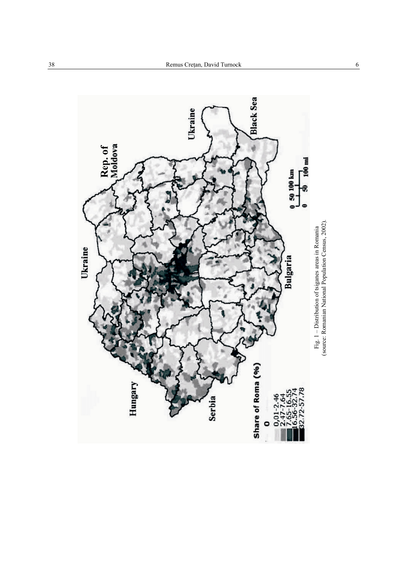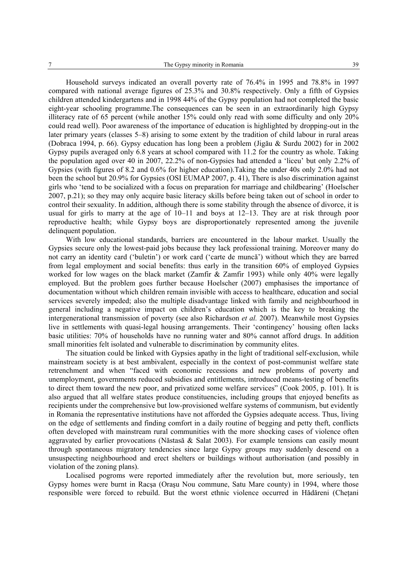Household surveys indicated an overall poverty rate of 76.4% in 1995 and 78.8% in 1997 compared with national average figures of 25.3% and 30.8% respectively. Only a fifth of Gypsies children attended kindergartens and in 1998 44% of the Gypsy population had not completed the basic eight-year schooling programme.The consequences can be seen in an extraordinarily high Gypsy illiteracy rate of 65 percent (while another 15% could only read with some difficulty and only 20% could read well). Poor awareness of the importance of education is highlighted by dropping-out in the later primary years (classes 5–8) arising to some extent by the tradition of child labour in rural areas (Dobraca 1994, p. 66). Gypsy education has long been a problem (Jigău & Surdu 2002) for in 2002 Gypsy pupils averaged only 6.8 years at school compared with 11.2 for the country as whole. Taking the population aged over 40 in 2007, 22.2% of non-Gypsies had attended a 'liceu' but only 2.2% of Gypsies (with figures of 8.2 and 0.6% for higher education).Taking the under 40s only 2.0% had not been the school but 20.9% for Gypsies (OSI EUMAP 2007, p. 41), There is also discrimination against girls who 'tend to be socialized with a focus on preparation for marriage and childbearing' (Hoelscher 2007, p.21); so they may only acquire basic literacy skills before being taken out of school in order to control their sexuality. In addition, although there is some stability through the absence of divorce, it is usual for girls to marry at the age of  $10-11$  and boys at  $12-13$ . They are at risk through poor reproductive health; while Gypsy boys are disproportionately represented among the juvenile delinquent population.

With low educational standards, barriers are encountered in the labour market. Usually the Gypsies secure only the lowest-paid jobs because they lack professional training. Moreover many do not carry an identity card ('buletin') or work card ('carte de muncă') without which they are barred from legal employment and social benefits: thus early in the transition 60% of employed Gypsies worked for low wages on the black market (Zamfir & Zamfir 1993) while only 40% were legally employed. But the problem goes further because Hoelscher (2007) emphasises the importance of documentation without which children remain invisible with access to healthcare, education and social services severely impeded; also the multiple disadvantage linked with family and neighbourhood in general including a negative impact on children's education which is the key to breaking the intergenerational transmission of poverty (see also Richardson *et al.* 2007). Meanwhile most Gypsies live in settlements with quasi-legal housing arrangements. Their 'contingency' housing often lacks basic utilities: 70% of households have no running water and 80% cannot afford drugs. In addition small minorities felt isolated and vulnerable to discrimination by community elites.

The situation could be linked with Gypsies apathy in the light of traditional self-exclusion, while mainstream society is at best ambivalent, especially in the context of post-communist welfare state retrenchment and when "faced with economic recessions and new problems of poverty and unemployment, governments reduced subsidies and entitlements, introduced means-testing of benefits to direct them toward the new poor, and privatized some welfare services" (Cook 2005, p. 101). It is also argued that all welfare states produce constituencies, including groups that enjoyed benefits as recipients under the comprehensive but low-provisioned welfare systems of communism, but evidently in Romania the representative institutions have not afforded the Gypsies adequate access. Thus, living on the edge of settlements and finding comfort in a daily routine of begging and petty theft, conflicts often developed with mainstream rural communities with the more shocking cases of violence often aggravated by earlier provocations (Năstasă & Salat 2003). For example tensions can easily mount through spontaneous migratory tendencies since large Gypsy groups may suddenly descend on a unsuspecting neighbourhood and erect shelters or buildings without authorisation (and possibly in violation of the zoning plans).

Localised pogroms were reported immediately after the revolution but, more seriously, ten Gypsy homes were burnt in Racşa (Oraşu Nou commune, Satu Mare county) in 1994, where those responsible were forced to rebuild. But the worst ethnic violence occurred in Hădăreni (Chetani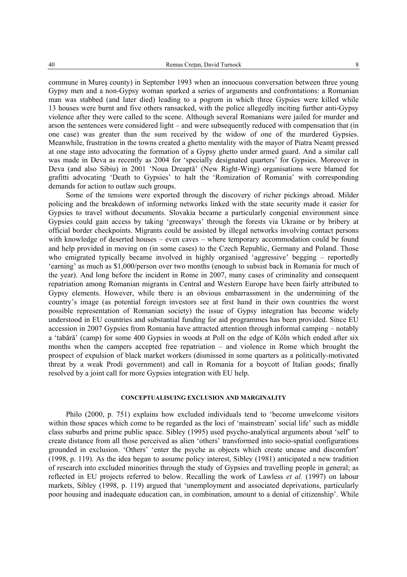commune in Mureş county) in September 1993 when an innocuous conversation between three young Gypsy men and a non-Gypsy woman sparked a series of arguments and confrontations: a Romanian man was stabbed (and later died) leading to a pogrom in which three Gypsies were killed while 13 houses were burnt and five others ransacked, with the police allegedly inciting further anti-Gypsy violence after they were called to the scene. Although several Romanians were jailed for murder and arson the sentences were considered light – and were subsequently reduced with compensation that (in one case) was greater than the sum received by the widow of one of the murdered Gypsies. Meanwhile, frustration in the towns created a ghetto mentality with the mayor of Piatra Neamţ pressed at one stage into advocating the formation of a Gypsy ghetto under armed guard. And a similar call was made in Deva as recently as 2004 for 'specially designated quarters' for Gypsies. Moreover in Deva (and also Sibiu) in 2001 'Noua Dreaptă' (New Right-Wing) organisations were blamed for grafitti advocating 'Death to Gypsies' to halt the 'Romization of Romania' with corresponding demands for action to outlaw such groups.

Some of the tensions were exported through the discovery of richer pickings abroad. Milder policing and the breakdown of informing networks linked with the state security made it easier for Gypsies to travel without documents. Slovakia became a particularly congenial environment since Gypsies could gain access by taking 'greenways' through the forests via Ukraine or by bribery at official border checkpoints. Migrants could be assisted by illegal networks involving contact persons with knowledge of deserted houses – even caves – where temporary accommodation could be found and help provided in moving on (in some cases) to the Czech Republic, Germany and Poland. Those who emigrated typically became involved in highly organised 'aggressive' begging – reportedly 'earning' as much as \$1,000/person over two months (enough to subsist back in Romania for much of the year). And long before the incident in Rome in 2007, many cases of criminality and consequent repatriation among Romanian migrants in Central and Western Europe have been fairly attributed to Gypsy elements. However, while there is an obvious embarrassment in the undermining of the country's image (as potential foreign investors see at first hand in their own countries the worst possible representation of Romanian society) the issue of Gypsy integration has become widely understood in EU countries and substantial funding for aid programmes has been provided. Since EU accession in 2007 Gypsies from Romania have attracted attention through informal camping – notably a 'tabără' (camp) for some 400 Gypsies in woods at Poll on the edge of Köln which ended after six months when the campers accepted free repatriation – and violence in Rome which brought the prospect of expulsion of black market workers (dismissed in some quarters as a politically-motivated threat by a weak Prodi government) and call in Romania for a boycott of Italian goods; finally resolved by a joint call for more Gypsies integration with EU help.

#### **CONCEPTUALISUING EXCLUSION AND MARGINALITY**

Philo (2000, p. 751) explains how excluded individuals tend to 'become unwelcome visitors within those spaces which come to be regarded as the loci of 'mainstream' social life' such as middle class suburbs and prime public space. Sibley (1995) used psycho-analytical arguments about 'self' to create distance from all those perceived as alien 'others' transformed into socio-spatial configurations grounded in exclusion. 'Others' 'enter the psyche as objects which create unease and discomfort' (1998, p. 119). As the idea began to assume policy interest, Sibley (1981) anticipated a new tradition of research into excluded minorities through the study of Gypsies and travelling people in general; as reflected in EU projects referred to below. Recalling the work of Lawless *et al.* (1997) on labour markets, Sibley (1998, p. 119) argued that 'unemployment and associated deprivations, particularly poor housing and inadequate education can, in combination, amount to a denial of citizenship'. While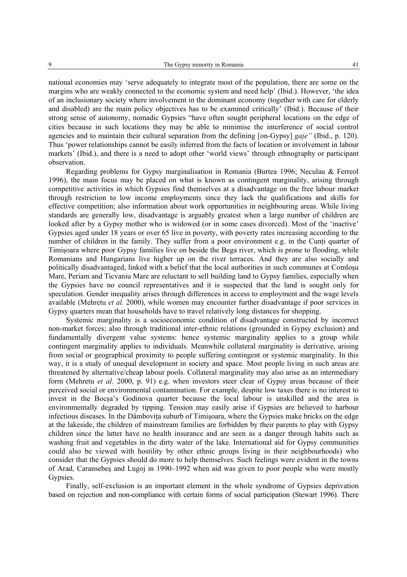national economies may 'serve adequately to integrate most of the population, there are some on the margins who are weakly connected to the economic system and need help' (Ibid.). However, 'the idea of an inclusionary society where involvement in the dominant economy (together with care for elderly and disabled) are the main policy objectives has to be examined critically' (Ibid.). Because of their strong sense of autonomy, nomadic Gypsies "have often sought peripheral locations on the edge of cities because in such locations they may be able to minimise the interference of social control agencies and to maintain their cultural separation from the defining [on-Gypsy] *gaje"* (Ibid., p. 120). Thus 'power relationships cannot be easily inferred from the facts of location or involvement in labour markets' (Ibid.), and there is a need to adopt other 'world views' through ethnography or participant observation.

Regarding problems for Gypsy marginalisation in Romania (Burtea 1996; Neculau & Ferreol 1996), the main focus may be placed on what is known as contingent marginality, arising through competitive activities in which Gypsies find themselves at a disadvantage on the free labour market through restriction to low income employments since they lack the qualifications and skills for effective competition; also information about work opportunities in neighbouring areas. While living standards are generally low, disadvantage is arguably greatest when a large number of children are looked after by a Gypsy mother who is widowed (or in some cases divorced). Most of the 'inactive' Gypsies aged under 18 years or over 65 live in poverty, with poverty rates increasing according to the number of children in the family. They suffer from a poor environment e.g. in the Cunti quarter of Timişoara where poor Gypsy families live on beside the Bega river, which is prone to flooding, while Romanians and Hungarians live higher up on the river terraces. And they are also socially and politically disadvantaged, linked with a belief that the local authorities in such communes at Comloşu Mare, Periam and Ticvaniu Mare are reluctant to sell building land to Gypsy families, especially when the Gypsies have no council representatives and it is suspected that the land is sought only for speculation. Gender inequality arises through differences in access to employment and the wage levels available (Mehretu *et al.* 2000), while women may encounter further disadvantage if poor services in Gypsy quarters mean that households have to travel relatively long distances for shopping.

Systemic marginality is a socioeconomic condition of disadvantage constructed by incorrect non-market forces; also through traditional inter-ethnic relations (grounded in Gypsy exclusion) and fundamentally divergent value systems: hence systemic marginality applies to a group while contingent marginality applies to individuals. Meanwhile collateral marginality is derivative, arising from social or geographical proximity to people suffering contingent or systemic marginality. In this way, it is a study of unequal development in society and space. Most people living in such areas are threatened by alternative/cheap labour pools. Collateral marginality may also arise as an intermediary form (Mehretu *et al*. 2000, p. 91) e.g. when investors steer clear of Gypsy areas because of their perceived social or environmental contamination. For example, despite low taxes there is no interest to invest in the Bocşa's Godinova quarter because the local labour is unskilled and the area is environmentally degraded by tipping. Tension may easily arise if Gypsies are believed to harbour infectious diseases. In the Dâmbovita suburb of Timisoara, where the Gypsies make bricks on the edge at the lakeside, the children of mainstream families are forbidden by their parents to play with Gypsy children since the latter have no health insurance and are seen as a danger through habits such as washing fruit and vegetables in the dirty water of the lake. International aid for Gypsy communities could also be viewed with hostility by other ethnic groups living in their neighbourhoods) who consider that the Gypsies should do more to help themselves. Such feelings were evident in the towns of Arad, Caransebeş and Lugoj in 1990–1992 when aid was given to poor people who were mostly Gypsies.

Finally, self-exclusion is an important element in the whole syndrome of Gypsies deprivation based on rejection and non-compliance with certain forms of social participation (Stewart 1996). There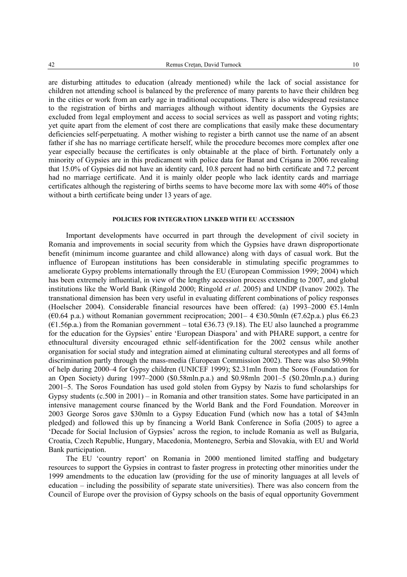are disturbing attitudes to education (already mentioned) while the lack of social assistance for children not attending school is balanced by the preference of many parents to have their children beg in the cities or work from an early age in traditional occupations. There is also widespread resistance to the registration of births and marriages although without identity documents the Gypsies are excluded from legal employment and access to social services as well as passport and voting rights; yet quite apart from the element of cost there are complications that easily make these documentary deficiencies self-perpetuating. A mother wishing to register a birth cannot use the name of an absent father if she has no marriage certificate herself, while the procedure becomes more complex after one year especially because the certificates is only obtainable at the place of birth. Fortunately only a minority of Gypsies are in this predicament with police data for Banat and Crişana in 2006 revealing that 15.0% of Gypsies did not have an identity card, 10.8 percent had no birth certificate and 7.2 percent had no marriage certificate. And it is mainly older people who lack identity cards and marriage certificates although the registering of births seems to have become more lax with some 40% of those without a birth certificate being under 13 years of age.

#### **POLICIES FOR INTEGRATION LINKED WITH EU ACCESSION**

Important developments have occurred in part through the development of civil society in Romania and improvements in social security from which the Gypsies have drawn disproportionate benefit (minimum income guarantee and child allowance) along with days of casual work. But the influence of European institutions has been considerable in stimulating specific programmes to ameliorate Gypsy problems internationally through the EU (European Commission 1999; 2004) which has been extremely influential, in view of the lengthy accession process extending to 2007, and global institutions like the World Bank (Ringold 2000; Ringold *et al*. 2005) and UNDP (Ivanov 2002). The transnational dimension has been very useful in evaluating different combinations of policy responses (Hoelscher 2004). Considerable financial resources have been offered: (a) 1993–2000 €5.14mln (€0.64 p.a.) without Romanian government reciprocation; 2001– 4 €30.50mln (€7.62p.a.) plus €6.23  $(61.56p.a.)$  from the Romanian government – total  $636.73$  (9.18). The EU also launched a programme for the education for the Gypsies' entire 'European Diaspora' and with PHARE support, a centre for ethnocultural diversity encouraged ethnic self-identification for the 2002 census while another organisation for social study and integration aimed at eliminating cultural stereotypes and all forms of discrimination partly through the mass-media (European Commission 2002). There was also \$0.99bln of help during 2000–4 for Gypsy children (UNICEF 1999); \$2.31mln from the Soros (Foundation for an Open Society) during 1997–2000 (\$0.58mln.p.a.) and \$0.98mln 2001–5 (\$0.20mln.p.a.) during 2001–5. The Soros Foundation has used gold stolen from Gypsy by Nazis to fund scholarships for Gypsy students (c.500 in 2001) – in Romania and other transition states. Some have participated in an intensive management course financed by the World Bank and the Ford Foundation. Moreover in 2003 George Soros gave \$30mln to a Gypsy Education Fund (which now has a total of \$43mln pledged) and followed this up by financing a World Bank Conference in Sofia (2005) to agree a 'Decade for Social Inclusion of Gypsies' across the region, to include Romania as well as Bulgaria, Croatia, Czech Republic, Hungary, Macedonia, Montenegro, Serbia and Slovakia, with EU and World Bank participation.

The EU 'country report' on Romania in 2000 mentioned limited staffing and budgetary resources to support the Gypsies in contrast to faster progress in protecting other minorities under the 1999 amendments to the education law (providing for the use of minority languages at all levels of education – including the possibility of separate state universities). There was also concern from the Council of Europe over the provision of Gypsy schools on the basis of equal opportunity Government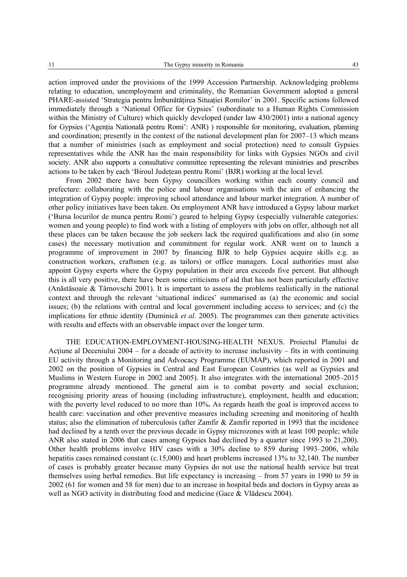action improved under the provisions of the 1999 Accession Partnership. Acknowledging problems relating to education, unemployment and criminality, the Romanian Government adopted a general PHARE-assisted 'Strategia pentru Îmbunătățirea Situației Romilor' in 2001. Specific actions followed immediately through a 'National Office for Gypsies' (subordinate to a Human Rights Commission within the Ministry of Culture) which quickly developed (under law 430/2001) into a national agency for Gypsies ('Agenția Natională pentru Romi': ANR) ) responsible for monitoring, evaluation, planning and coordination; presently in the context of the national development plan for 2007–13 which means that a number of ministries (such as employment and social protection) need to consult Gypsies representatives while the ANR has the main responsibility for links with Gypsies NGOs and civil society. ANR also supports a consultative committee representing the relevant ministries and prescribes actions to be taken by each 'Biroul Județean pentru Romi' (BJR) working at the local level.

From 2002 there have been Gypsy councillors working within each county council and prefecture: collaborating with the police and labour organisations with the aim of enhancing the integration of Gypsy people: improving school attendance and labour market integration. A number of other policy initiatives have been taken. On employment ANR have introduced a Gypsy labour market ('Bursa locurilor de munca pentru Romi') geared to helping Gypsy (especially vulnerable categories: women and young people) to find work with a listing of employers with jobs on offer, although not all these places can be taken because the job seekers lack the required qualifications and also (in some cases) the necessary motivation and commitment for regular work. ANR went on to launch a programme of improvement in 2007 by financing BJR to help Gypsies acquire skills e.g. as construction workers, craftsmen (e.g. as tailors) or office managers. Local authorities must also appoint Gypsy experts where the Gypsy population in their area exceeds five percent. But although this is all very positive, there have been some criticisms of aid that has not been particularly effective (Anăstăsoaie & Târnovschi 2001). It is important to assess the problems realistically in the national context and through the relevant 'situational indices' summarised as (a) the economic and social issues; (b) the relations with central and local government including access to services; and (c) the implications for ethnic identity (Duminică *et al.* 2005). The programmes can then generate activities with results and effects with an observable impact over the longer term.

THE EDUCATION-EMPLOYMENT-HOUSING-HEALTH NEXUS. Proiectul Planului de Actiune al Deceniului 2004 – for a decade of activity to increase inclusivity – fits in with continuing EU activity through a Monitoring and Advocacy Programme (EUMAP), which reported in 2001 and 2002 on the position of Gypsies in Central and East European Countries (as well as Gypsies and Muslims in Western Europe in 2002 and 2005). It also integrates with the international 2005–2015 programme already mentioned. The general aim is to combat poverty and social exclusion; recognising priority areas of housing (including infrastructure), employment, health and education; with the poverty level reduced to no more than 10%**.** As regards heath the goal is improved access to health care: vaccination and other preventive measures including screening and monitoring of health status; also the elimination of tuberculosis (after Zamfir & Zamfir reported in 1993 that the incidence had declined by a tenth over the previous decade in Gypsy microzones with at least 100 people; while ANR also stated in 2006 that cases among Gypsies had declined by a quarter since 1993 to 21,200). Other health problems involve HIV cases with a 30% decline to 859 during 1993–2006, while hepatitis cases remained constant (c.15,000) and heart problems increased 13% to 32,140. The number of cases is probably greater because many Gypsies do not use the national health service but treat themselves using herbal remedies. But life expectancy is increasing – from 57 years in 1990 to 59 in 2002 (61 for women and 58 for men) due to an increase in hospital beds and doctors in Gypsy areas as well as NGO activity in distributing food and medicine (Gace & Vlădescu 2004).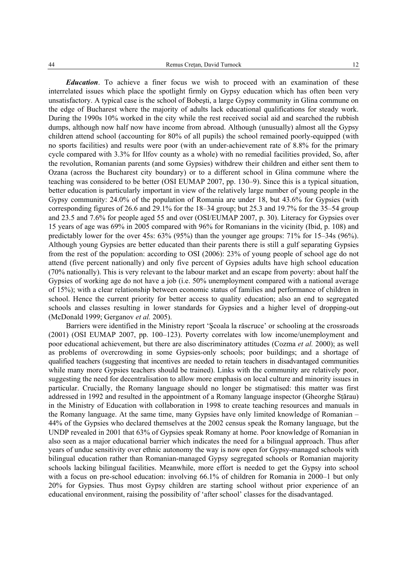*Education*. To achieve a finer focus we wish to proceed with an examination of these interrelated issues which place the spotlight firmly on Gypsy education which has often been very unsatisfactory. A typical case is the school of Bobeşti, a large Gypsy community in Glina commune on the edge of Bucharest where the majority of adults lack educational qualifications for steady work. During the 1990s 10% worked in the city while the rest received social aid and searched the rubbish dumps, although now half now have income from abroad. Although (unusually) almost all the Gypsy children attend school (accounting for 80% of all pupils) the school remained poorly-equipped (with no sports facilities) and results were poor (with an under-achievement rate of 8.8% for the primary cycle compared with 3.3% for Ilfov county as a whole) with no remedial facilities provided, So, after the revolution, Romanian parents (and some Gypsies) withdrew their children and either sent them to Ozana (across the Bucharest city boundary) or to a different school in Glina commune where the teaching was considered to be better (OSI EUMAP 2007, pp. 130–9). Since this is a typical situation, better education is particularly important in view of the relatively large number of young people in the Gypsy community: 24.0% of the population of Romania are under 18, but 43.6% for Gypsies (with corresponding figures of 26.6 and 29.1% for the 18–34 group; but 25.3 and 19.7% for the 35–54 group and 23.5 and 7.6% for people aged 55 and over (OSI/EUMAP 2007, p. 30). Literacy for Gypsies over 15 years of age was 69% in 2005 compared with 96% for Romanians in the vicinity (Ibid, p. 108) and predictably lower for the over 45s: 63% (95%) than the younger age groups: 71% for 15–34s (96%). Although young Gypsies are better educated than their parents there is still a gulf separating Gypsies from the rest of the population: according to OSI (2006): 23% of young people of school age do not attend (five percent nationally) and only five percent of Gypsies adults have high school education (70% nationally). This is very relevant to the labour market and an escape from poverty: about half the Gypsies of working age do not have a job (i.e. 50% unemployment compared with a national average of 15%); with a clear relationship between economic status of families and performance of children in school. Hence the current priority for better access to quality education; also an end to segregated schools and classes resulting in lower standards for Gypsies and a higher level of dropping-out (McDonald 1999; Gerganov *et al.* 2005).

Barriers were identified in the Ministry report 'Şcoala la răscruce' or schooling at the crossroads (2001) (OSI EUMAP 2007, pp. 100–123). Poverty correlates with low income/unemployment and poor educational achievement, but there are also discriminatory attitudes (Cozma *et al.* 2000); as well as problems of overcrowding in some Gypsies-only schools; poor buildings; and a shortage of qualified teachers (suggesting that incentives are needed to retain teachers in disadvantaged communities while many more Gypsies teachers should be trained). Links with the community are relatively poor, suggesting the need for decentralisation to allow more emphasis on local culture and minority issues in particular. Crucially, the Romany language should no longer be stigmatised: this matter was first addressed in 1992 and resulted in the appointment of a Romany language inspector (Gheorghe Sţărau) in the Ministry of Education with collaboration in 1998 to create teaching resources and manuals in the Romany language. At the same time, many Gypsies have only limited knowledge of Romanian – 44% of the Gypsies who declared themselves at the 2002 census speak the Romany language, but the UNDP revealed in 2001 that 63% of Gypsies speak Romany at home. Poor knowledge of Romanian in also seen as a major educational barrier which indicates the need for a bilingual approach. Thus after years of undue sensitivity over ethnic autonomy the way is now open for Gypsy-managed schools with bilingual education rather than Romanian-managed Gypsy segregated schools or Romanian majority schools lacking bilingual facilities. Meanwhile, more effort is needed to get the Gypsy into school with a focus on pre-school education: involving 66.1% of children for Romania in 2000–1 but only 20% for Gypsies. Thus most Gypsy children are starting school without prior experience of an educational environment, raising the possibility of 'after school' classes for the disadvantaged.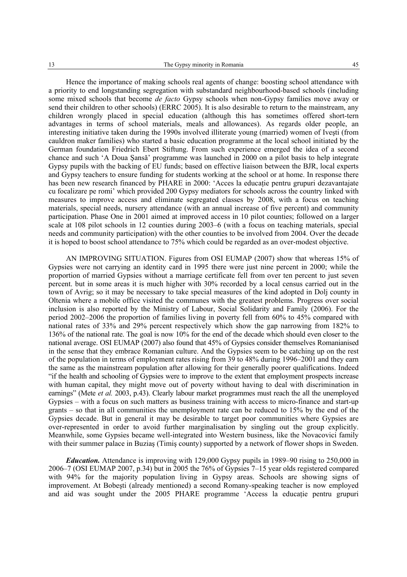Hence the importance of making schools real agents of change: boosting school attendance with a priority to end longstanding segregation with substandard neighbourhood-based schools (including some mixed schools that become *de facto* Gypsy schools when non-Gypsy families move away or send their children to other schools) (ERRC 2005). It is also desirable to return to the mainstream, any children wrongly placed in special education (although this has sometimes offered short-tern advantages in terms of school materials, meals and allowances). As regards older people, an interesting initiative taken during the 1990s involved illiterate young (married) women of Iveşti (from cauldron maker families) who started a basic education programme at the local school initiated by the German foundation Friedrich Ebert Stiftung. From such experience emerged the idea of a second chance and such 'A Doua Şansă' programme was launched in 2000 on a pilot basis to help integrate Gypsy pupils with the backing of EU funds; based on effective liaison between the BJR, local experts and Gypsy teachers to ensure funding for students working at the school or at home. In response there has been new research financed by PHARE in 2000: 'Acces la educație pentru grupuri dezavantajate cu focalizare pe romi' which provided 200 Gypsy mediators for schools across the country linked with measures to improve access and eliminate segregated classes by 2008, with a focus on teaching materials, special needs, nursery attendance (with an annual increase of five percent) and community participation. Phase One in 2001 aimed at improved access in 10 pilot counties; followed on a larger scale at 108 pilot schools in 12 counties during 2003–6 (with a focus on teaching materials, special needs and community participation) with the other counties to be involved from 2004. Over the decade it is hoped to boost school attendance to 75% which could be regarded as an over-modest objective.

AN IMPROVING SITUATION. Figures from OSI EUMAP (2007) show that whereas 15% of Gypsies were not carrying an identity card in 1995 there were just nine percent in 2000; while the proportion of married Gypsies without a marriage certificate fell from over ten percent to just seven percent. but in some areas it is much higher with 30% recorded by a local census carried out in the town of Avrig; so it may be necessary to take special measures of the kind adopted in Dolj county in Oltenia where a mobile office visited the communes with the greatest problems. Progress over social inclusion is also reported by the Ministry of Labour, Social Solidarity and Family (2006). For the period 2002–2006 the proportion of families living in poverty fell from 60% to 45% compared with national rates of 33% and 29% percent respectively which show the gap narrowing from 182% to 136% of the national rate. The goal is now 10% for the end of the decade which should even closer to the national average. OSI EUMAP (2007) also found that 45% of Gypsies consider themselves Romanianised in the sense that they embrace Romanian culture. And the Gypsies seem to be catching up on the rest of the population in terms of employment rates rising from 39 to 48% during 1996–2001 and they earn the same as the mainstream population after allowing for their generally poorer qualifications. Indeed "if the health and schooling of Gypsies were to improve to the extent that employment prospects increase with human capital, they might move out of poverty without having to deal with discrimination in earnings" (Mete *et al.* 2003, p.43). Clearly labour market programmes must reach the all the unemployed Gypsies – with a focus on such matters as business training with access to micro-finance and start-up grants – so that in all communities the unemployment rate can be reduced to 15% by the end of the Gypsies decade. But in general it may be desirable to target poor communities where Gypsies are over-represented in order to avoid further marginalisation by singling out the group explicitly. Meanwhile, some Gypsies became well-integrated into Western business, like the Novacovici family with their summer palace in Buzias (Timis county) supported by a network of flower shops in Sweden.

*Education.* Attendance is improving with 129,000 Gypsy pupils in 1989–90 rising to 250,000 in 2006–7 (OSI EUMAP 2007, p.34) but in 2005 the 76% of Gypsies 7–15 year olds registered compared with 94% for the majority population living in Gypsy areas. Schools are showing signs of improvement. At Bobeşti (already mentioned) a second Romany-speaking teacher is now employed and aid was sought under the 2005 PHARE programme 'Access la educatie pentru grupuri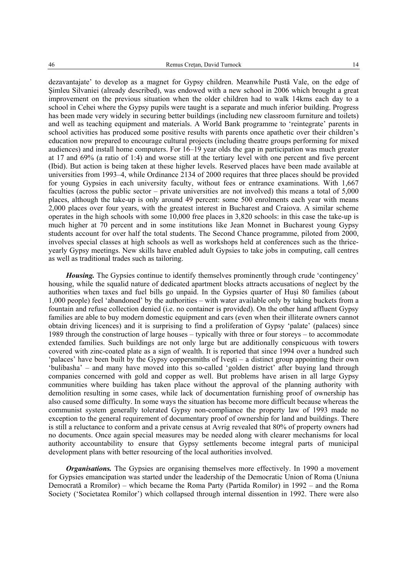dezavantajate' to develop as a magnet for Gypsy children. Meanwhile Pustă Vale, on the edge of Şimleu Silvaniei (already described), was endowed with a new school in 2006 which brought a great improvement on the previous situation when the older children had to walk 14kms each day to a school in Cehei where the Gypsy pupils were taught is a separate and much inferior building. Progress has been made very widely in securing better buildings (including new classroom furniture and toilets) and well as teaching equipment and materials. A World Bank programme to 'reintegrate' parents in school activities has produced some positive results with parents once apathetic over their children's education now prepared to encourage cultural projects (including theatre groups performing for mixed audiences) and install home computers. For 16–19 year olds the gap in participation was much greater at 17 and 69% (a ratio of 1:4) and worse still at the tertiary level with one percent and five percent (Ibid). But action is being taken at these higher levels. Reserved places have been made available at universities from 1993–4, while Ordinance 2134 of 2000 requires that three places should be provided for young Gypsies in each university faculty, without fees or entrance examinations. With 1,667 faculties (across the public sector – private universities are not involved) this means a total of 5,000 places, although the take-up is only around 49 percent: some 500 enrolments each year with means 2,000 places over four years, with the greatest interest in Bucharest and Craiova. A similar scheme operates in the high schools with some 10,000 free places in 3,820 schools: in this case the take-up is much higher at 70 percent and in some institutions like Jean Monnet in Bucharest young Gypsy students account for over half the total students. The Second Chance programme, piloted from 2000, involves special classes at high schools as well as workshops held at conferences such as the thriceyearly Gypsy meetings. New skills have enabled adult Gypsies to take jobs in computing, call centres as well as traditional trades such as tailoring.

*Housing.* The Gypsies continue to identify themselves prominently through crude 'contingency' housing, while the squalid nature of dedicated apartment blocks attracts accusations of neglect by the authorities when taxes and fuel bills go unpaid. In the Gypsies quarter of Huşi 80 families (about 1,000 people) feel 'abandoned' by the authorities – with water available only by taking buckets from a fountain and refuse collection denied (i.e. no container is provided). On the other hand affluent Gypsy families are able to buy modern domestic equipment and cars (even when their illiterate owners cannot obtain driving licences) and it is surprising to find a proliferation of Gypsy 'palate' (palaces) since 1989 through the construction of large houses – typically with three or four storeys – to accommodate extended families. Such buildings are not only large but are additionally conspicuous with towers covered with zinc-coated plate as a sign of wealth. It is reported that since 1994 over a hundred such 'palaces' have been built by the Gypsy coppersmiths of Iveşti – a distinct group appointing their own 'bulibasha' – and many have moved into this so-called 'golden district' after buying land through companies concerned with gold and copper as well. But problems have arisen in all large Gypsy communities where building has taken place without the approval of the planning authority with demolition resulting in some cases, while lack of documentation furnishing proof of ownership has also caused some difficulty. In some ways the situation has become more difficult because whereas the communist system generally tolerated Gypsy non-compliance the property law of 1993 made no exception to the general requirement of documentary proof of ownership for land and buildings. There is still a reluctance to conform and a private census at Avrig revealed that 80% of property owners had no documents. Once again special measures may be needed along with clearer mechanisms for local authority accountability to ensure that Gypsy settlements become integral parts of municipal development plans with better resourcing of the local authorities involved.

*Organisations.* The Gypsies are organising themselves more effectively. In 1990 a movement for Gypsies emancipation was started under the leadership of the Democratic Union of Roma (Uniuna Democrată a Rromilor) – which became the Roma Party (Partida Romilor) in 1992 – and the Roma Society ('Societatea Romilor') which collapsed through internal dissention in 1992. There were also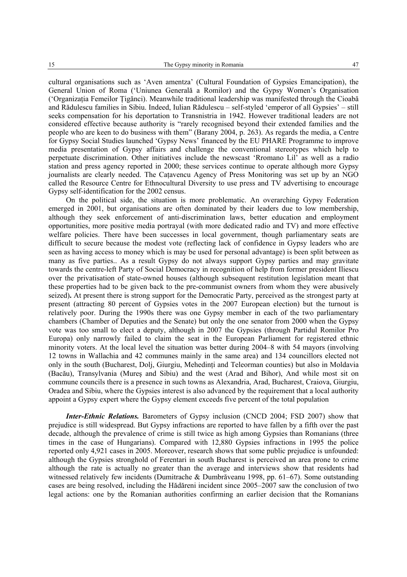cultural organisations such as 'Aven amentza' (Cultural Foundation of Gypsies Emancipation), the General Union of Roma ('Uniunea Generală a Romilor) and the Gypsy Women's Organisation ('Organizaţia Femeilor Ţigănci). Meanwhile traditional leadership was manifested through the Cioabă and Rădulescu families in Sibiu. Indeed, Iulian Rădulescu – self-styled 'emperor of all Gypsies' – still seeks compensation for his deportation to Transnistria in 1942. However traditional leaders are not considered effective because authority is "rarely recognised beyond their extended families and the people who are keen to do business with them" (Barany 2004, p. 263). As regards the media, a Centre for Gypsy Social Studies launched 'Gypsy News' financed by the EU PHARE Programme to improve media presentation of Gypsy affairs and challenge the conventional stereotypes which help to perpetuate discrimination. Other initiatives include the newscast 'Rromano Lil' as well as a radio station and press agency reported in 2000; these services continue to operate although more Gypsy journalists are clearly needed. The Caţavencu Agency of Press Monitoring was set up by an NGO called the Resource Centre for Ethnocultural Diversity to use press and TV advertising to encourage Gypsy self-identification for the 2002 census.

On the political side, the situation is more problematic. An overarching Gypsy Federation emerged in 2001, but organisations are often dominated by their leaders due to low membership, although they seek enforcement of anti-discrimination laws, better education and employment opportunities, more positive media portrayal (with more dedicated radio and TV) and more effective welfare policies. There have been successes in local government, though parliamentary seats are difficult to secure because the modest vote (reflecting lack of confidence in Gypsy leaders who are seen as having access to money which is may be used for personal advantage) is been split between as many as five parties.. As a result Gypsy do not always support Gypsy parties and may gravitate towards the centre-left Party of Social Democracy in recognition of help from former president Iliescu over the privatisation of state-owned houses (although subsequent restitution legislation meant that these properties had to be given back to the pre-communist owners from whom they were abusively seized)**.** At present there is strong support for the Democratic Party, perceived as the strongest party at present (attracting 80 percent of Gypsies votes in the 2007 European election) but the turnout is relatively poor. During the 1990s there was one Gypsy member in each of the two parliamentary chambers (Chamber of Deputies and the Senate) but only the one senator from 2000 when the Gypsy vote was too small to elect a deputy, although in 2007 the Gypsies (through Partidul Romilor Pro Europa) only narrowly failed to claim the seat in the European Parliament for registered ethnic minority voters. At the local level the situation was better during 2004–8 with 54 mayors (involving 12 towns in Wallachia and 42 communes mainly in the same area) and 134 councillors elected not only in the south (Bucharest, Dolj, Giurgiu, Mehedinti and Teleorman counties) but also in Moldavia (Bacău), Transylvania (Mureş and Sibiu) and the west (Arad and Bihor), And while most sit on commune councils there is a presence in such towns as Alexandria, Arad, Bucharest, Craiova, Giurgiu, Oradea and Sibiu, where the Gypsies interest is also advanced by the requirement that a local authority appoint a Gypsy expert where the Gypsy element exceeds five percent of the total population

*Inter-Ethnic Relations.* Barometers of Gypsy inclusion (CNCD 2004; FSD 2007) show that prejudice is still widespread. But Gypsy infractions are reported to have fallen by a fifth over the past decade, although the prevalence of crime is still twice as high among Gypsies than Romanians (three times in the case of Hungarians). Compared with 12,880 Gypsies infractions in 1995 the police reported only 4,921 cases in 2005. Moreover, research shows that some public prejudice is unfounded: although the Gypsies stronghold of Ferentari in south Bucharest is perceived an area prone to crime although the rate is actually no greater than the average and interviews show that residents had witnessed relatively few incidents (Dumitrache & Dumbrăveanu 1998, pp. 61–67). Some outstanding cases are being resolved, including the Hădăreni incident since 2005–2007 saw the conclusion of two legal actions: one by the Romanian authorities confirming an earlier decision that the Romanians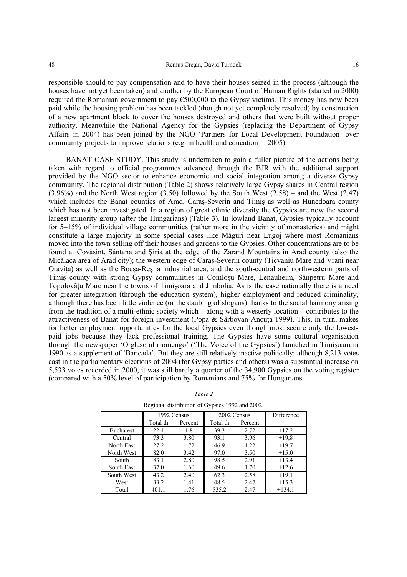responsible should to pay compensation and to have their houses seized in the process (although the houses have not yet been taken) and another by the European Court of Human Rights (started in 2000) required the Romanian government to pay  $\epsilon$ 500,000 to the Gypsy victims. This money has now been paid while the housing problem has been tackled (though not yet completely resolved) by construction of a new apartment block to cover the houses destroyed and others that were built without proper authority. Meanwhile the National Agency for the Gypsies (replacing the Department of Gypsy Affairs in 2004) has been joined by the NGO 'Partners for Local Development Foundation' over community projects to improve relations (e.g. in health and education in 2005).

BANAT CASE STUDY. This study is undertaken to gain a fuller picture of the actions being taken with regard to official programmes advanced through the BJR with the additional support provided by the NGO sector to enhance economic and social integration among a diverse Gypsy community, The regional distribution (Table 2) shows relatively large Gypsy shares in Central region  $(3.96\%)$  and the North West region  $(3.50)$  followed by the South West  $(2.58)$  – and the West  $(2.47)$ which includes the Banat counties of Arad, Caras-Severin and Timis as well as Hunedoara county which has not been investigated. In a region of great ethnic diversity the Gypsies are now the second largest minority group (after the Hungarians) (Table 3). In lowland Banat, Gypsies typically account for 5–15% of individual village communities (rather more in the vicinity of monasteries) and might constitute a large majority in some special cases like Măguri near Lugoj where most Romanians moved into the town selling off their houses and gardens to the Gypsies. Other concentrations are to be found at Covăsint, Sântana and Siria at the edge of the Zarand Mountains in Arad county (also the Micălaca area of Arad city); the western edge of Caraş-Severin county (Ticvaniu Mare and Vrani near Oravita) as well as the Bocsa-Resita industrial area; and the south-central and northwesterm parts of Timiş county with strong Gypsy communities in Comloşu Mare, Lenauheim, Sânpetru Mare and Topolovăţu Mare near the towns of Timişoara and Jimbolia. As is the case nationally there is a need for greater integration (through the education system), higher employment and reduced criminality, although there has been little violence (or the daubing of slogans) thanks to the social harmony arising from the tradition of a multi-ethnic society which – along with a westerly location – contributes to the attractiveness of Banat for foreign investment (Popa & Sârbovan-Ancuţa 1999). This, in turn, makes for better employment opportunities for the local Gypsies even though most secure only the lowestpaid jobs because they lack professional training. The Gypsies have some cultural organisation through the newspaper 'O glaso al rromengo' ('The Voice of the Gypsies') launched in Timişoara in 1990 as a supplement of 'Baricada'. But they are still relatively inactive politically: although 8,213 votes cast in the parliamentary elections of 2004 (for Gypsy parties and others) was a substantial increase on 5,533 votes recorded in 2000, it was still barely a quarter of the 34,900 Gypsies on the voting register (compared with a 50% level of participation by Romanians and 75% for Hungarians.

|                  | 1992 Census |         | 2002 Census |         | Difference |
|------------------|-------------|---------|-------------|---------|------------|
|                  | Total th    | Percent | Total th    | Percent |            |
| <b>Bucharest</b> | 22.1        | 1.8     | 39.3        | 2.72    | $+17.2$    |
| Central          | 73.3        | 3.80    | 93.1        | 3.96    | $+19.8$    |
| North East       | 27.2        | 1.72    | 46.9        | 1.22    | $+19.7$    |
| North West       | 82.0        | 3.42    | 97.0        | 3.50    | $+15.0$    |
| South            | 83.1        | 2.80    | 98.5        | 2.91    | $+13.4$    |
| South East       | 37.0        | 1.60    | 49.6        | 1.70    | $+12.6$    |
| South West       | 43.2        | 2.40    | 62.3        | 2.58    | $+19.1$    |
| West             | 33.2        | 1.41    | 48.5        | 2.47    | $+15.3$    |
| Total            | 401.1       | 1,76    | 535.2       | 2.47    | $+134.1$   |

#### *Table 2*

Regional distribution of Gypsies 1992 and 2002.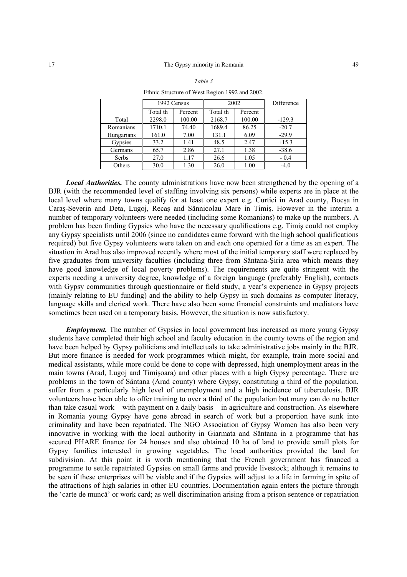|            | 1992 Census |         | 2002     |         | Difference |
|------------|-------------|---------|----------|---------|------------|
|            | Total th    | Percent | Total th | Percent |            |
| Total      | 2298.0      | 100.00  | 2168.7   | 100.00  | $-129.3$   |
| Romanians  | 1710.1      | 74.40   | 1689.4   | 86.25   | $-20.7$    |
| Hungarians | 161.0       | 7.00    | 131.1    | 6.09    | $-29.9$    |
| Gypsies    | 33.2        | 1.41    | 48.5     | 2.47    | $+15.3$    |
| Germans    | 65.7        | 2.86    | 27.1     | 1.38    | $-38.6$    |
| Serbs      | 27.0        | 1.17    | 26.6     | 1.05    | $-0.4$     |
| Others     | 30.0        | 1.30    | 26.0     | 1.00    | $-4.0$     |

Ethnic Structure of West Region 1992 and 2002.

*Local Authorities.* The county administrations have now been strengthened by the opening of a BJR (with the recommended level of staffing involving six persons) while experts are in place at the local level where many towns qualify for at least one expert e.g. Curtici in Arad county. Bocsa in Caraş-Severin and Deta, Lugoj, Recaş and Sânnicolau Mare in Timiş. However in the interim a number of temporary volunteers were needed (including some Romanians) to make up the numbers. A problem has been finding Gypsies who have the necessary qualifications e.g. Timiş could not employ any Gypsy specialists until 2006 (since no candidates came forward with the high school qualifications required) but five Gypsy volunteers were taken on and each one operated for a time as an expert. The situation in Arad has also improved recently where most of the initial temporary staff were replaced by five graduates from university faculties (including three from Sântana-Şiria area which means they have good knowledge of local poverty problems). The requirements are quite stringent with the experts needing a university degree, knowledge of a foreign language (preferably English), contacts with Gypsy communities through questionnaire or field study, a year's experience in Gypsy projects (mainly relating to EU funding) and the ability to help Gypsy in such domains as computer literacy, language skills and clerical work. There have also been some financial constraints and mediators have sometimes been used on a temporary basis. However, the situation is now satisfactory.

*Employment.* The number of Gypsies in local government has increased as more young Gypsy students have completed their high school and faculty education in the county towns of the region and have been helped by Gypsy politicians and intellectuals to take administrative jobs mainly in the BJR. But more finance is needed for work programmes which might, for example, train more social and medical assistants, while more could be done to cope with depressed, high unemployment areas in the main towns (Arad, Lugoj and Timişoara) and other places with a high Gypsy percentage. There are problems in the town of Sântana (Arad county) where Gypsy, constituting a third of the population, suffer from a particularly high level of unemployment and a high incidence of tuberculosis. BJR volunteers have been able to offer training to over a third of the population but many can do no better than take casual work – with payment on a daily basis – in agriculture and construction. As elsewhere in Romania young Gypsy have gone abroad in search of work but a proportion have sunk into criminality and have been repatriated. The NGO Association of Gypsy Women has also been very innovative in working with the local authority in Giarmata and Sântana in a programme that has secured PHARE finance for 24 houses and also obtained 10 ha of land to provide small plots for Gypsy families interested in growing vegetables. The local authorities provided the land for subdivision. At this point it is worth mentioning that the French government has financed a programme to settle repatriated Gypsies on small farms and provide livestock; although it remains to be seen if these enterprises will be viable and if the Gypsies will adjust to a life in farming in spite of the attractions of high salaries in other EU countries. Documentation again enters the picture through the 'carte de muncă' or work card; as well discrimination arising from a prison sentence or repatriation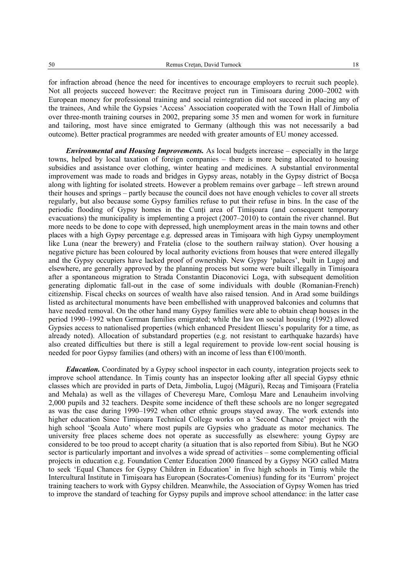for infraction abroad (hence the need for incentives to encourage employers to recruit such people). Not all projects succeed however: the Recitrave project run in Timisoara during 2000–2002 with European money for professional training and social reintegration did not succeed in placing any of the trainees, And while the Gypsies 'Access' Association cooperated with the Town Hall of Jimbolia over three-month training courses in 2002, preparing some 35 men and women for work in furniture and tailoring, most have since emigrated to Germany (although this was not necessarily a bad outcome). Better practical programmes are needed with greater amounts of EU money accessed.

*Environmental and Housing Improvements.* As local budgets increase – especially in the large towns, helped by local taxation of foreign companies – there is more being allocated to housing subsidies and assistance over clothing, winter heating and medicines. A substantial environmental improvement was made to roads and bridges in Gypsy areas, notably in the Gypsy district of Bocşa along with lighting for isolated streets. However a problem remains over garbage – left strewn around their houses and springs – partly because the council does not have enough vehicles to cover all streets regularly, but also because some Gypsy families refuse to put their refuse in bins. In the case of the periodic flooding of Gypsy homes in the Cunti area of Timisoara (and consequent temporary evacuations) the municipality is implementing a project (2007–2010) to contain the river channel. But more needs to be done to cope with depressed, high unemployment areas in the main towns and other places with a high Gypsy percentage e.g. depressed areas in Timişoara with high Gypsy unemployment like Luna (near the brewery) and Fratelia (close to the southern railway station). Over housing a negative picture has been coloured by local authority evictions from houses that were entered illegally and the Gypsy occupiers have lacked proof of ownership. New Gypsy 'palaces', built in Lugoj and elsewhere, are generally approved by the planning process but some were built illegally in Timişoara after a spontaneous migration to Strada Constantin Diaconovici Loga, with subsequent demolition generating diplomatic fall-out in the case of some individuals with double (Romanian-French) citizenship. Fiscal checks on sources of wealth have also raised tension. And in Arad some buildings listed as architectural monuments have been embellished with unapproved balconies and columns that have needed removal. On the other hand many Gypsy families were able to obtain cheap houses in the period 1990–1992 when German families emigrated; while the law on social housing (1992) allowed Gypsies access to nationalised properties (which enhanced President Iliescu's popularity for a time, as already noted). Allocation of substandard properties (e.g. not resistant to earthquake hazards) have also created difficulties but there is still a legal requirement to provide low-rent social housing is needed for poor Gypsy families (and others) with an income of less than  $\epsilon$ 100/month.

*Education.* Coordinated by a Gypsy school inspector in each county, integration projects seek to improve school attendance. In Timiş county has an inspector looking after all special Gypsy ethnic classes which are provided in parts of Deta, Jimbolia, Lugoj (Măguri), Recaş and Timişoara (Fratelia and Mehala) as well as the villages of Chevereşu Mare, Comloşu Mare and Lenauheim involving 2,000 pupils and 32 teachers. Despite some incidence of theft these schools are no longer segregated as was the case during 1990–1992 when other ethnic groups stayed away. The work extends into higher education Since Timişoara Technical College works on a 'Second Chance' project with the high school 'Şcoala Auto' where most pupils are Gypsies who graduate as motor mechanics. The university free places scheme does not operate as successfully as elsewhere: young Gypsy are considered to be too proud to accept charity (a situation that is also reported from Sibiu). But he NGO sector is particularly important and involves a wide spread of activities – some complementing official projects in education e.g. Foundation Center Education 2000 financed by a Gypsy NGO called Matra to seek 'Equal Chances for Gypsy Children in Education' in five high schools in Timiş while the Intercultural Institute in Timişoara has European (Socrates-Comenius) funding for its 'Eurrom' project training teachers to work with Gypsy children. Meanwhile, the Association of Gypsy Women has tried to improve the standard of teaching for Gypsy pupils and improve school attendance: in the latter case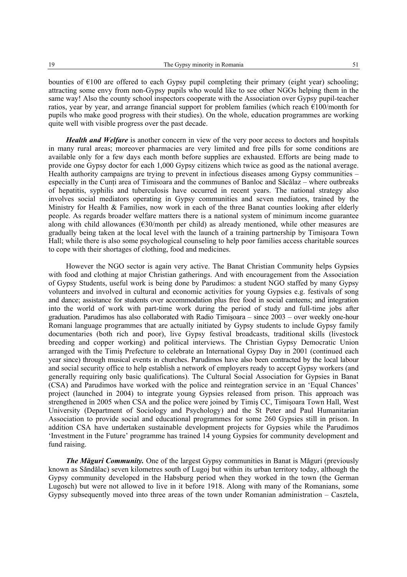bounties of €100 are offered to each Gypsy pupil completing their primary (eight year) schooling; attracting some envy from non-Gypsy pupils who would like to see other NGOs helping them in the same way! Also the county school inspectors cooperate with the Association over Gypsy pupil-teacher ratios, year by year, and arrange financial support for problem families (which reach  $E100/$ month for pupils who make good progress with their studies). On the whole, education programmes are working quite well with visible progress over the past decade.

*Health and Welfare* is another concern in view of the very poor access to doctors and hospitals in many rural areas; moreover pharmacies are very limited and free pills for some conditions are available only for a few days each month before supplies are exhausted. Efforts are being made to provide one Gypsy doctor for each 1,000 Gypsy citizens which twice as good as the national average. Health authority campaigns are trying to prevent in infectious diseases among Gypsy communities – especially in the Cunți area of Timisoara and the communes of Banloc and Săcălaz – where outbreaks of hepatitis, syphilis and tuberculosis have occurred in recent years. The national strategy also involves social mediators operating in Gypsy communities and seven mediators, trained by the Ministry for Health & Families, now work in each of the three Banat counties looking after elderly people. As regards broader welfare matters there is a national system of minimum income guarantee along with child allowances  $(\epsilon 30$ /month per child) as already mentioned, while other measures are gradually being taken at the local level with the launch of a training partnership by Timişoara Town Hall; while there is also some psychological counseling to help poor families access charitable sources to cope with their shortages of clothing, food and medicines.

However the NGO sector is again very active. The Banat Christian Community helps Gypsies with food and clothing at major Christian gatherings. And with encouragement from the Association of Gypsy Students, useful work is being done by Parudimos: a student NGO staffed by many Gypsy volunteers and involved in cultural and economic activities for young Gypsies e.g. festivals of song and dance; assistance for students over accommodation plus free food in social canteens; and integration into the world of work with part-time work during the period of study and full-time jobs after graduation. Parudimos has also collaborated with Radio Timişoara – since 2003 – over weekly one-hour Romani language programmes that are actually initiated by Gypsy students to include Gypsy family documentaries (both rich and poor), live Gypsy festival broadcasts, traditional skills (livestock breeding and copper working) and political interviews. The Christian Gypsy Democratic Union arranged with the Timiş Prefecture to celebrate an International Gypsy Day in 2001 (continued each year since) through musical events in churches. Parudimos have also been contracted by the local labour and social security office to help establish a network of employers ready to accept Gypsy workers (and generally requiring only basic qualifications). The Cultural Social Association for Gypsies in Banat (CSA) and Parudimos have worked with the police and reintegration service in an 'Equal Chances' project (launched in 2004) to integrate young Gypsies released from prison. This approach was strengthened in 2005 when CSA and the police were joined by Timiş CC, Timişoara Town Hall, West University (Department of Sociology and Psychology) and the St Peter and Paul Humanitarian Association to provide social and educational programmes for some 260 Gypsies still in prison. In addition CSA have undertaken sustainable development projects for Gypsies while the Parudimos 'Investment in the Future' programme has trained 14 young Gypsies for community development and fund raising.

*The Măguri Community.* One of the largest Gypsy communities in Banat is Măguri (previously known as Săndălac) seven kilometres south of Lugoj but within its urban territory today, although the Gypsy community developed in the Habsburg period when they worked in the town (the German Lugosch) but were not allowed to live in it before 1918. Along with many of the Romanians, some Gypsy subsequently moved into three areas of the town under Romanian administration – Casztela,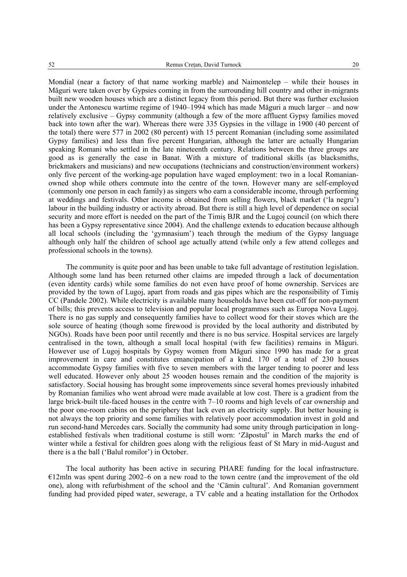Mondial (near a factory of that name working marble) and Naimontelep – while their houses in Măguri were taken over by Gypsies coming in from the surrounding hill country and other in-migrants built new wooden houses which are a distinct legacy from this period. But there was further exclusion under the Antonescu wartime regime of 1940–1994 which has made Măguri a much larger – and now relatively exclusive – Gypsy community (although a few of the more affluent Gypsy families moved back into town after the war). Whereas there were 335 Gypsies in the village in 1900 (40 percent of the total) there were 577 in 2002 (80 percent) with 15 percent Romanian (including some assimilated Gypsy families) and less than five percent Hungarian, although the latter are actually Hungarian speaking Romani who settled in the late nineteenth century. Relations between the three groups are good as is generally the case in Banat. With a mixture of traditional skills (as blacksmiths, brickmakers and musicians) and new occupations (technicians and construction/environment workers) only five percent of the working-age population have waged employment: two in a local Romanianowned shop while others commute into the centre of the town. However many are self-employed (commonly one person in each family) as singers who earn a considerable income, through performing at weddings and festivals. Other income is obtained from selling flowers, black market ('la negru') labour in the building industry or activity abroad. But there is still a high level of dependence on social security and more effort is needed on the part of the Timiş BJR and the Lugoj council (on which there has been a Gypsy representative since 2004). And the challenge extends to education because although all local schools (including the 'gymnasium') teach through the medium of the Gypsy language although only half the children of school age actually attend (while only a few attend colleges and professional schools in the towns).

The community is quite poor and has been unable to take full advantage of restitution legislation. Although some land has been returned other claims are impeded through a lack of documentation (even identity cards) while some families do not even have proof of home ownership. Services are provided by the town of Lugoj, apart from roads and gas pipes which are the responsibility of Timiş CC (Pandele 2002). While electricity is available many households have been cut-off for non-payment of bills; this prevents access to television and popular local programmes such as Europa Nova Lugoj. There is no gas supply and consequently families have to collect wood for their stoves which are the sole source of heating (though some firewood is provided by the local authority and distributed by NGOs). Roads have been poor until recently and there is no bus service. Hospital services are largely centralised in the town, although a small local hospital (with few facilities) remains in Măguri. However use of Lugoj hospitals by Gypsy women from Măguri since 1990 has made for a great improvement in care and constitutes emancipation of a kind. 170 of a total of 230 houses accommodate Gypsy families with five to seven members with the larger tending to poorer and less well educated. However only about 25 wooden houses remain and the condition of the majority is satisfactory. Social housing has brought some improvements since several homes previously inhabited by Romanian families who went abroad were made available at low cost. There is a gradient from the large brick-built tile-faced houses in the centre with 7–10 rooms and high levels of car ownership and the poor one-room cabins on the periphery that lack even an electricity supply. But better housing is not always the top priority and some families with relatively poor accommodation invest in gold and run second-hand Mercedes cars. Socially the community had some unity through participation in longestablished festivals when traditional costume is still worn: 'Zăpostul' in March marks the end of winter while a festival for children goes along with the religious feast of St Mary in mid-August and there is a the ball ('Balul romilor') in October.

The local authority has been active in securing PHARE funding for the local infrastructure.  $E12$ mln was spent during 2002–6 on a new road to the town centre (and the improvement of the old one), along with refurbishment of the school and the 'Cămin cultural'. And Romanian government funding had provided piped water, sewerage, a TV cable and a heating installation for the Orthodox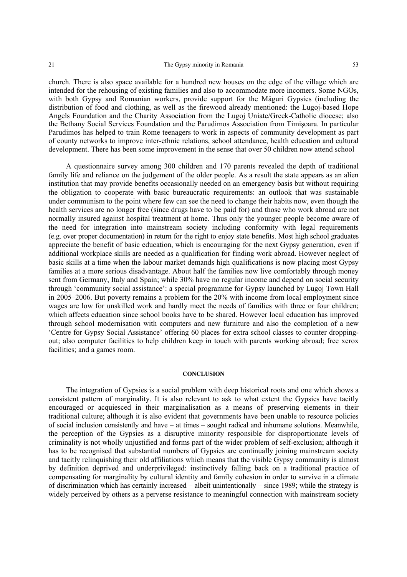church. There is also space available for a hundred new houses on the edge of the village which are intended for the rehousing of existing families and also to accommodate more incomers. Some NGOs, with both Gypsy and Romanian workers, provide support for the Măguri Gypsies (including the distribution of food and clothing, as well as the firewood already mentioned: the Lugoj-based Hope Angels Foundation and the Charity Association from the Lugoj Uniate/Greek-Catholic diocese; also the Bethany Social Services Foundation and the Parudimos Association from Timişoara. In particular Parudimos has helped to train Rome teenagers to work in aspects of community development as part of county networks to improve inter-ethnic relations, school attendance, health education and cultural development. There has been some improvement in the sense that over 50 children now attend school

A questionnaire survey among 300 children and 170 parents revealed the depth of traditional family life and reliance on the judgement of the older people. As a result the state appears as an alien institution that may provide benefits occasionally needed on an emergency basis but without requiring the obligation to cooperate with basic bureaucratic requirements: an outlook that was sustainable under communism to the point where few can see the need to change their habits now, even though the health services are no longer free (since drugs have to be paid for) and those who work abroad are not normally insured against hospital treatment at home. Thus only the younger people become aware of the need for integration into mainstream society including conformity with legal requirements (e.g. over proper documentation) in return for the right to enjoy state benefits. Most high school graduates appreciate the benefit of basic education, which is encouraging for the next Gypsy generation, even if additional workplace skills are needed as a qualification for finding work abroad. However neglect of basic skills at a time when the labour market demands high qualifications is now placing most Gypsy families at a more serious disadvantage. About half the families now live comfortably through money sent from Germany, Italy and Spain; while 30% have no regular income and depend on social security through 'community social assistance': a special programme for Gypsy launched by Lugoj Town Hall in 2005–2006. But poverty remains a problem for the 20% with income from local employment since wages are low for unskilled work and hardly meet the needs of families with three or four children; which affects education since school books have to be shared. However local education has improved through school modernisation with computers and new furniture and also the completion of a new 'Centre for Gypsy Social Assistance' offering 60 places for extra school classes to counter droppingout; also computer facilities to help children keep in touch with parents working abroad; free xerox facilities; and a games room.

#### **CONCLUSION**

The integration of Gypsies is a social problem with deep historical roots and one which shows a consistent pattern of marginality. It is also relevant to ask to what extent the Gypsies have tacitly encouraged or acquiesced in their marginalisation as a means of preserving elements in their traditional culture; although it is also evident that governments have been unable to resource policies of social inclusion consistently and have – at times – sought radical and inhumane solutions. Meanwhile, the perception of the Gypsies as a disruptive minority responsible for disproportionate levels of criminality is not wholly unjustified and forms part of the wider problem of self-exclusion; although it has to be recognised that substantial numbers of Gypsies are continually joining mainstream society and tacitly relinquishing their old affiliations which means that the visible Gypsy community is almost by definition deprived and underprivileged: instinctively falling back on a traditional practice of compensating for marginality by cultural identity and family cohesion in order to survive in a climate of discrimination which has certainly increased – albeit unintentionally – since 1989; while the strategy is widely perceived by others as a perverse resistance to meaningful connection with mainstream society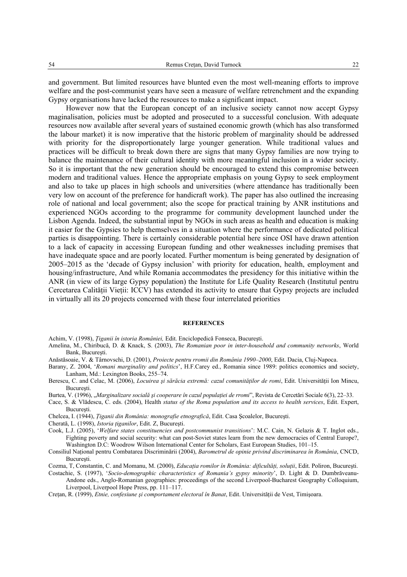and government. But limited resources have blunted even the most well-meaning efforts to improve welfare and the post-communist years have seen a measure of welfare retrenchment and the expanding Gypsy organisations have lacked the resources to make a significant impact.

However now that the European concept of an inclusive society cannot now accept Gypsy maginalisation, policies must be adopted and prosecuted to a successful conclusion. With adequate resources now available after several years of sustained economic growth (which has also transformed the labour market) it is now imperative that the historic problem of marginality should be addressed with priority for the disproportionately large younger generation. While traditional values and practices will be difficult to break down there are signs that many Gypsy families are now trying to balance the maintenance of their cultural identity with more meaningful inclusion in a wider society. So it is important that the new generation should be encouraged to extend this compromise between modern and traditional values. Hence the appropriate emphasis on young Gypsy to seek employment and also to take up places in high schools and universities (where attendance has traditionally been very low on account of the preference for handicraft work). The paper has also outlined the increasing role of national and local government; also the scope for practical training by ANR institutions and experienced NGOs according to the programme for community development launched under the Lisbon Agenda. Indeed, the substantial input by NGOs in such areas as health and education is making it easier for the Gypsies to help themselves in a situation where the performance of dedicated political parties is disappointing. There is certainly considerable potential here since OSI have drawn attention to a lack of capacity in accessing European funding and other weaknesses including premises that have inadequate space and are poorly located. Further momentum is being generated by designation of 2005–2015 as the 'decade of Gypsy inclusion' with priority for education, health, employment and housing/infrastructure, And while Romania accommodates the presidency for this initiative within the ANR (in view of its large Gypsy population) the Institute for Life Quality Research (Institutul pentru Cercetarea Calității Vieții: ICCV) has extended its activity to ensure that Gypsy projects are included in virtually all its 20 projects concerned with these four interrelated priorities

#### **REFERENCES**

Achim, V. (1998), *Ţiganii în istoria României,* Edit. Enciclopedică Fonseca, Bucureşti.

- Amelina, M., Chiribucă, D. & Knack, S. (2003), *The Romanian poor in inter-household and community networks*, World Bank, Bucureşti.
- Anăstăsoaie, V. & Târnovschi, D. (2001), *Proiecte pentru rromii din România 1990–2000*, Edit. Dacia, Cluj-Napoca.
- Barany, Z. 2004, '*Romani marginality and politics*', H.F.Carey ed., Romania since 1989: politics economics and society, Lanham, Md.: Lexington Books, 255–74.
- Berescu, C. and Celac, M. (2006), *Locuirea și sărăcia extremă: cazul comunităților de romi*, Edit. Universității Ion Mincu, Bucureşti.
- Burtea, V. (1996), "*Marginalizare socială și cooperare în cazul populației de rromi*", Revista de Cercetări Sociale 6(3), 22–33.
- Cace, S. & Vlădescu, C. eds. (2004), Health *status of the Roma population and its access to health services*, Edit. Expert, Bucureşti.
- Chelcea, I. (1944), *Ţiganii din România: monografie etnografică*, Edit. Casa Şcoalelor, Bucureşti.
- Cherată, L. (1998), *Istoria ţiganilor*, Edit. Z, Bucureşti.
- Cook, L.J. (2005), '*Welfare states constituencies and postcommunist transitions*': M.C. Cain, N. Gelazis & T. Inglot eds., Fighting poverty and social security: what can post-Soviet states learn from the new democracies of Central Europe?, Washington D.C: Woodrow Wilson International Center for Scholars, East European Studies, 101–15.
- Consiliul Naţional pentru Combatarea Discriminării (2004), *Barometrul de opinie privind discriminarea în România*, CNCD, București.
- Cozma, T, Constantin, C. and Momanu, M. (2000), *Educaţia romilor în România: dificultăţi, soluţii*, Edit. Poliron, Bucureşti. Costachie, S. (1997), '*Socio-demographic characteristics of Romania's gypsy minority*', D. Light & D. Dumbrăveanu-
	- Andone eds., Anglo-Romanian geographies: proceedings of the second Liverpool-Bucharest Geography Colloquium, Liverpool, Liverpool Hope Press, pp. 111–117.
- Cretan, R. (1999), *Etnie, confesiune și comportament electoral în Banat*, Edit. Universității de Vest, Timișoara.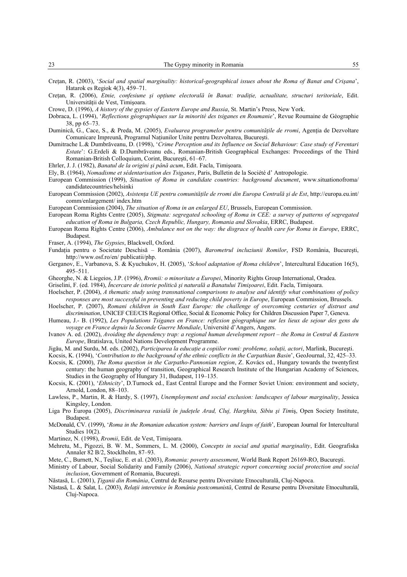| n n<br>رے | $\mathbf{m}$<br>The<br>--<br>лог<br>наша<br>____ |  |
|-----------|--------------------------------------------------|--|
|           |                                                  |  |

- Cretan, R. (2003), '*Social and spatial marginality: historical-geographical issues about the Roma of Banat and Crisana*', Hatarok es Regiok 4(3), 459–71.
- Cretan, R. (2006), *Etnie, confesiune și opțiune electorală în Banat: tradiție, actualitate, structuri teritoriale*, Edit. Universității de Vest, Timișoara.

- Dobraca, L. (1994), '*Reflections géographiques sur la minorité des tsiganes en Roumanie*', Revue Roumaine de Géographie 38, pp 65–73.
- Duminică, G., Cace, S., & Preda, M. (2005), *Evaluarea programelor pentru comunitățile de rromi*, Agenția de Dezvoltare Comunicare Impreună, Programul Naţiunilor Unite pentru Dezvoltarea, Bucureşti.
- Dumitrache L.& Dumbrăveanu, D. (1998), '*Crime Perception and its Influence on Social Behaviour: Case study of Ferentari Estate*': G.Erdeli & D.Dumbrăveanu eds., Romanian-British Geographical Exchanges: Proceedings of the Third Romanian-British Colloquium, Corint, Bucureşti, 61–67.
- Ehrler, J. J. (1982), *Banatul de la origini şi până acum*, Edit. Facla, Timişoara.
- Ely, B. (1964), *Nomadisme et sédentarisation des Tsiganes*, Paris, Bulletin de la Société d' Antropologie.
- European Commission (1999), *Situation of Roma in candidate countries: background document*, www.situationofroma/ candidatecountries/helsinki
- European Commission (2002), *Asistenţa UE pentru comunităţile de rromi din Europa Centrală şi de Est*, http://europa.eu.int/ comm/enlargement/ index.htm
- European Commission (2004), *The situation of Roma in an enlarged EU*, Brussels, European Commission.
- European Roma Rights Centre (2005), *Stigmata: segregated schooling of Roma in CEE: a survey of patterns of segregated education of Roma in Bulgaria, Czech Republic, Hungary, Romania and Slovakia*, ERRC, Budapest.
- European Roma Rights Centre (2006), *Ambulance not on the way: the disgrace of health care for Roma in Europe*, ERRC, Budapest.

Fraser, A. (1994), *The Gypsies*, Blackwell, Oxford.

- Fundaţia pentru o Societate Deschisă România (2007), *Barometrul incluziunii Romilor*, FSD România, Bucureşti, http://www.osf.ro/en/ publicatii/php.
- Gerganov, E., Varbanova, S. & Kyuchukov, H. (2005), '*School adaptation of Roma children*', Intercultural Education 16(5), 495–511.
- Gheorghe, N. & Liegeios, J.P. (1996), *Rromii: o minoritate a Europei*, Minority Rights Group International, Oradea.
- Griselini, F. (ed. 1984), *Încercare de istorie politică şi naturală a Banatului Timişoarei*, Edit. Facla, Timişoara.
- Hoelscher, P. (2004), *A thematic study using transnational comparisons to analyse and identify what combinations of policy responses are most successful in preventing and reducing child poverty in Europe*, European Commission, Brussels.
- Hoelscher, P. (2007), *Romani children in South East Europe: the challenge of overcoming centuries of distrust and discrimination*, UNICEF CEE/CIS Regional Office, Social & Economic Policy for Children Discussion Paper 7, Geneva.
- Humeau, J.- B. (1992), *Les Populations Tsiganes en France: reflexion géographique sur les lieux de sejour des gens du voyage en France depuis la Seconde Guerre Mondiale*, Université d'Angers, Angers.
- Ivanov A. ed. (2002), *Avoiding the dependency trap: a regional human development report the Roma in Central & Eastern Europe*, Bratislava, United Nations Development Programme.
- Jigău, M. and Surdu, M. eds. (2002), *Participarea la educaţie a copiilor romi: probleme, soluţii, actori*, Marlink, Bucureşti.
- Kocsis, K. (1994), '*Contribution to the background of the ethnic conflicts in the Carpathian Basin*', GeoJournal, 32, 425–33.
- Kocsis, K. (2000), *The Roma question in the Carpatho-Pannonian region*, Z. Kovács ed., Hungary towards the twentyfirst century: the human geography of transition, Geographical Research Institute of the Hungarian Academy of Sciences, Studies in the Geography of Hungary 31, Budapest, 119–135.
- Kocsis, K. (2001), '*Ethnicity*', D.Turnock ed., East Central Europe and the Former Soviet Union: environment and society, Arnold, London, 88–103.
- Lawless, P., Martin, R. & Hardy, S. (1997), *Unemployment and social exclusion: landscapes of labour marginality*, Jessica Kingsley, London.
- Liga Pro Europa (2005), *Discriminarea rasială în judeţele Arad, Cluj, Harghita, Sibiu şi Tim*iş, Open Society Institute, Budapest.
- McDonald, CV. (1999), '*Roma in the Romanian education system: barriers and leaps of faith*', European Journal for Intercultural Studies 10(2).
- Martinez, N. (1998), *Rromii*, Edit. de Vest, Timişoara.
- Mehretu, M., Pigozzi, B. W. M., Sommers, L. M. (2000), *Concepts in social and spatial marginality*, Edit. Geografiska Annaler 82 B/2, Stocklholm, 87–93.
- Mete, C., Burnett, N., Teşliuc, E. et al. (2003), *Romania: poverty assessment*, World Bank Report 26169-RO, Bucureşti.
- Ministry of Labour, Social Solidarity and Family (2006), *National strategic report concerning social protection and social inclusion*, Government of Romania, Bucureşti.
- Năstasă, L. (2001), *Ţiganii din România*, Centrul de Resurse pentru Diversitate Etnoculturală, Cluj-Napoca.
- Năstasă, L. & Salat, L. (2003), *Relaţii interetnice în România postcomunistă*, Centrul de Resurse pentru Diversitate Etnoculturală, Cluj-Napoca.

Crowe, D. (1996), *A history of the gypsies of Eastern Europe and Russia*, St. Martin's Press, New York.